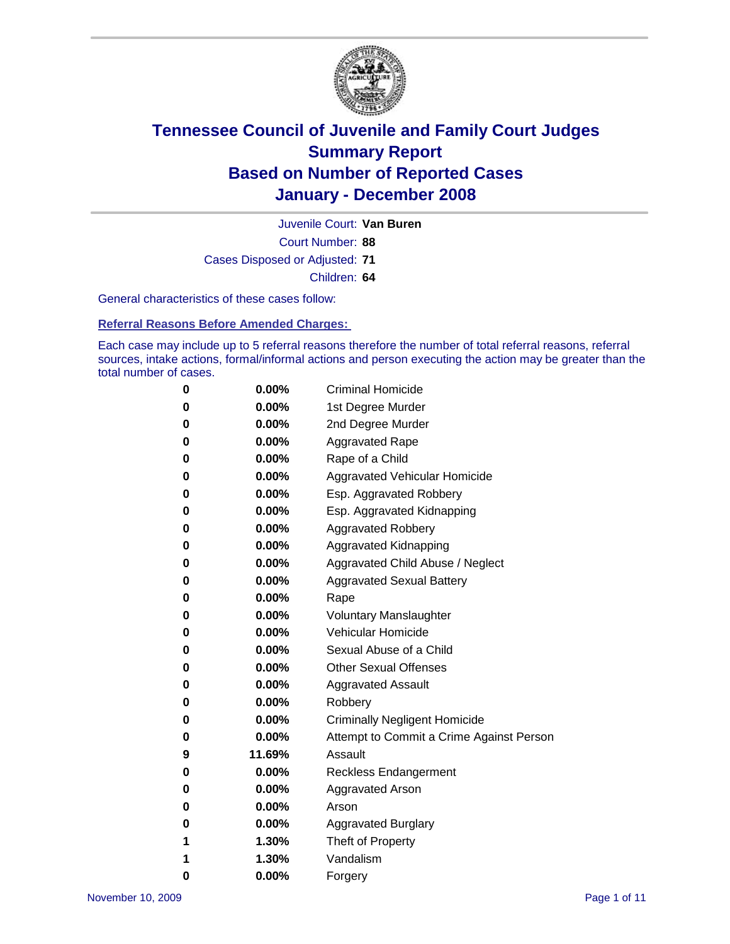

Court Number: **88** Juvenile Court: **Van Buren** Cases Disposed or Adjusted: **71** Children: **64**

General characteristics of these cases follow:

**Referral Reasons Before Amended Charges:** 

Each case may include up to 5 referral reasons therefore the number of total referral reasons, referral sources, intake actions, formal/informal actions and person executing the action may be greater than the total number of cases.

| 0 | $0.00\%$ | <b>Criminal Homicide</b>                 |
|---|----------|------------------------------------------|
| 0 | 0.00%    | 1st Degree Murder                        |
| 0 | $0.00\%$ | 2nd Degree Murder                        |
| 0 | $0.00\%$ | <b>Aggravated Rape</b>                   |
| 0 | $0.00\%$ | Rape of a Child                          |
| 0 | $0.00\%$ | Aggravated Vehicular Homicide            |
| 0 | $0.00\%$ | Esp. Aggravated Robbery                  |
| 0 | $0.00\%$ | Esp. Aggravated Kidnapping               |
| 0 | $0.00\%$ | <b>Aggravated Robbery</b>                |
| 0 | $0.00\%$ | Aggravated Kidnapping                    |
| 0 | $0.00\%$ | Aggravated Child Abuse / Neglect         |
| 0 | $0.00\%$ | <b>Aggravated Sexual Battery</b>         |
| 0 | 0.00%    | Rape                                     |
| 0 | $0.00\%$ | <b>Voluntary Manslaughter</b>            |
| 0 | $0.00\%$ | Vehicular Homicide                       |
| 0 | $0.00\%$ | Sexual Abuse of a Child                  |
| 0 | $0.00\%$ | <b>Other Sexual Offenses</b>             |
| 0 | $0.00\%$ | Aggravated Assault                       |
| 0 | $0.00\%$ | Robbery                                  |
| 0 | $0.00\%$ | <b>Criminally Negligent Homicide</b>     |
| 0 | $0.00\%$ | Attempt to Commit a Crime Against Person |
| 9 | 11.69%   | Assault                                  |
| 0 | $0.00\%$ | Reckless Endangerment                    |
| 0 | $0.00\%$ | Aggravated Arson                         |
| 0 | $0.00\%$ | Arson                                    |
| 0 | $0.00\%$ | <b>Aggravated Burglary</b>               |
| 1 | 1.30%    | Theft of Property                        |
| 1 | 1.30%    | Vandalism                                |
| 0 | 0.00%    | Forgery                                  |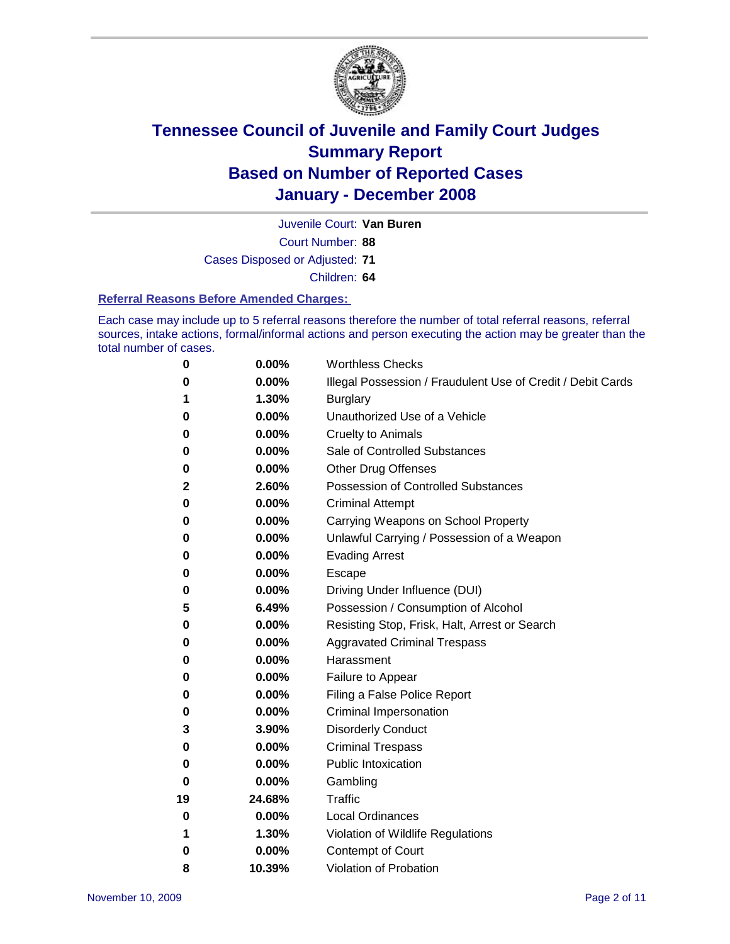

Court Number: **88** Juvenile Court: **Van Buren** Cases Disposed or Adjusted: **71** Children: **64**

#### **Referral Reasons Before Amended Charges:**

Each case may include up to 5 referral reasons therefore the number of total referral reasons, referral sources, intake actions, formal/informal actions and person executing the action may be greater than the total number of cases.

| 0  | 0.00%    | <b>Worthless Checks</b>                                     |
|----|----------|-------------------------------------------------------------|
| 0  | 0.00%    | Illegal Possession / Fraudulent Use of Credit / Debit Cards |
| 1  | 1.30%    | <b>Burglary</b>                                             |
| 0  | 0.00%    | Unauthorized Use of a Vehicle                               |
| 0  | 0.00%    | <b>Cruelty to Animals</b>                                   |
| 0  | $0.00\%$ | Sale of Controlled Substances                               |
| 0  | 0.00%    | <b>Other Drug Offenses</b>                                  |
| 2  | 2.60%    | Possession of Controlled Substances                         |
| 0  | 0.00%    | <b>Criminal Attempt</b>                                     |
| 0  | 0.00%    | Carrying Weapons on School Property                         |
| 0  | 0.00%    | Unlawful Carrying / Possession of a Weapon                  |
| 0  | 0.00%    | <b>Evading Arrest</b>                                       |
| 0  | $0.00\%$ | Escape                                                      |
| 0  | 0.00%    | Driving Under Influence (DUI)                               |
| 5  | 6.49%    | Possession / Consumption of Alcohol                         |
| 0  | 0.00%    | Resisting Stop, Frisk, Halt, Arrest or Search               |
| 0  | 0.00%    | <b>Aggravated Criminal Trespass</b>                         |
| 0  | 0.00%    | Harassment                                                  |
| 0  | 0.00%    | Failure to Appear                                           |
| 0  | 0.00%    | Filing a False Police Report                                |
| 0  | 0.00%    | Criminal Impersonation                                      |
| 3  | 3.90%    | <b>Disorderly Conduct</b>                                   |
| 0  | 0.00%    | <b>Criminal Trespass</b>                                    |
| 0  | $0.00\%$ | <b>Public Intoxication</b>                                  |
| 0  | 0.00%    | Gambling                                                    |
| 19 | 24.68%   | Traffic                                                     |
| 0  | $0.00\%$ | <b>Local Ordinances</b>                                     |
| 1  | 1.30%    | Violation of Wildlife Regulations                           |
| 0  | 0.00%    | Contempt of Court                                           |
| 8  | 10.39%   | Violation of Probation                                      |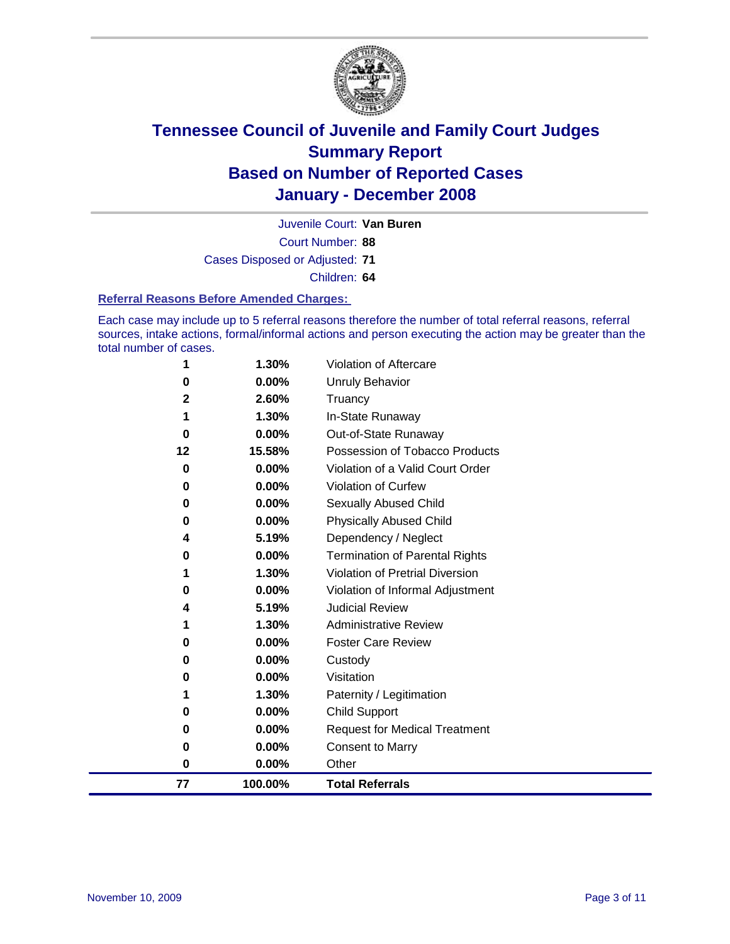

Court Number: **88** Juvenile Court: **Van Buren** Cases Disposed or Adjusted: **71** Children: **64**

#### **Referral Reasons Before Amended Charges:**

Each case may include up to 5 referral reasons therefore the number of total referral reasons, referral sources, intake actions, formal/informal actions and person executing the action may be greater than the total number of cases.

| 77           | 100.00%           | <b>Total Referrals</b>                                        |
|--------------|-------------------|---------------------------------------------------------------|
| $\bf{0}$     | $0.00\%$          | Other                                                         |
| 0            | 0.00%             | <b>Consent to Marry</b>                                       |
| 0            | 0.00%             | <b>Request for Medical Treatment</b>                          |
| 0            | $0.00\%$          | <b>Child Support</b>                                          |
| 1            | 1.30%             | Paternity / Legitimation                                      |
| 0            | 0.00%             | Visitation                                                    |
| 0            | $0.00\%$          | Custody                                                       |
| 0            | $0.00\%$          | <b>Foster Care Review</b>                                     |
| 1            | 1.30%             | <b>Administrative Review</b>                                  |
| 4            | 5.19%             | <b>Judicial Review</b>                                        |
| 0            | $0.00\%$          | Violation of Informal Adjustment                              |
| 1            | 1.30%             | <b>Violation of Pretrial Diversion</b>                        |
| 4<br>0       | 5.19%<br>$0.00\%$ | Dependency / Neglect<br><b>Termination of Parental Rights</b> |
| 0            | 0.00%             | <b>Physically Abused Child</b>                                |
| 0            | $0.00\%$          | Sexually Abused Child                                         |
| $\bf{0}$     | $0.00\%$          | Violation of Curfew                                           |
| 0            | 0.00%             | Violation of a Valid Court Order                              |
| 12           | 15.58%            | Possession of Tobacco Products                                |
| 0            | $0.00\%$          | Out-of-State Runaway                                          |
| 1            | 1.30%             | In-State Runaway                                              |
| $\mathbf{2}$ | 2.60%             | Truancy                                                       |
| 0            | 0.00%             | Unruly Behavior                                               |
| 1            | 1.30%             | Violation of Aftercare                                        |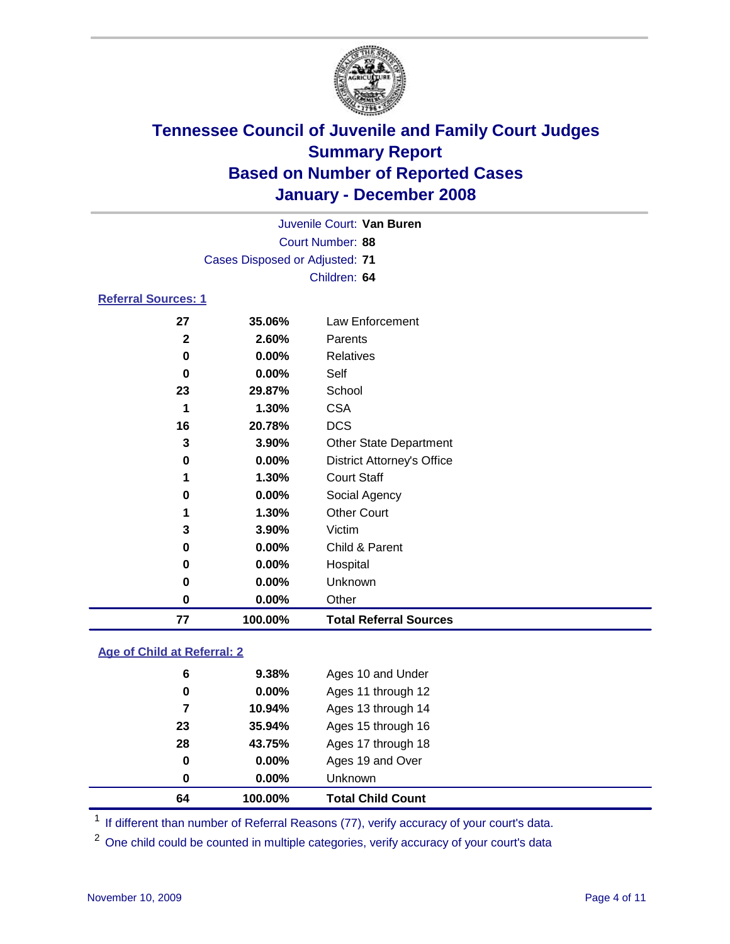

|                     |                                | Juvenile Court: Van Buren         |
|---------------------|--------------------------------|-----------------------------------|
|                     |                                | Court Number: 88                  |
|                     | Cases Disposed or Adjusted: 71 |                                   |
|                     |                                | Children: 64                      |
| Referral Sources: 1 |                                |                                   |
| 27                  | 35.06%                         | Law Enforcement                   |
| $\mathbf{2}$        | 2.60%                          | Parents                           |
| 0                   | $0.00\%$                       | <b>Relatives</b>                  |
| 0                   | $0.00\%$                       | Self                              |
| 23                  | 29.87%                         | School                            |
| 1                   | 1.30%                          | <b>CSA</b>                        |
| 16                  | 20.78%                         | <b>DCS</b>                        |
| 3                   | 3.90%                          | <b>Other State Department</b>     |
| 0                   | $0.00\%$                       | <b>District Attorney's Office</b> |
| 1                   | 1.30%                          | <b>Court Staff</b>                |
| 0                   | $0.00\%$                       | Social Agency                     |
| 1                   | 1.30%                          | <b>Other Court</b>                |
|                     |                                |                                   |

| 77 | 100.00%  | <b>Total Referral Sources</b> |  |
|----|----------|-------------------------------|--|
| 0  | $0.00\%$ | Other                         |  |
| 0  | $0.00\%$ | Unknown                       |  |
| 0  | $0.00\%$ | Hospital                      |  |
| 0  | $0.00\%$ | Child & Parent                |  |
| 3  | $3.90\%$ | Victim                        |  |

### **Age of Child at Referral: 2**

| 64 | 100.00%  | <b>Total Child Count</b> |
|----|----------|--------------------------|
| 0  | 0.00%    | <b>Unknown</b>           |
| 0  | 0.00%    | Ages 19 and Over         |
| 28 | 43.75%   | Ages 17 through 18       |
| 23 | 35.94%   | Ages 15 through 16       |
|    | 10.94%   | Ages 13 through 14       |
| 0  | $0.00\%$ | Ages 11 through 12       |
| 6  | 9.38%    | Ages 10 and Under        |
|    |          |                          |

<sup>1</sup> If different than number of Referral Reasons (77), verify accuracy of your court's data.

<sup>2</sup> One child could be counted in multiple categories, verify accuracy of your court's data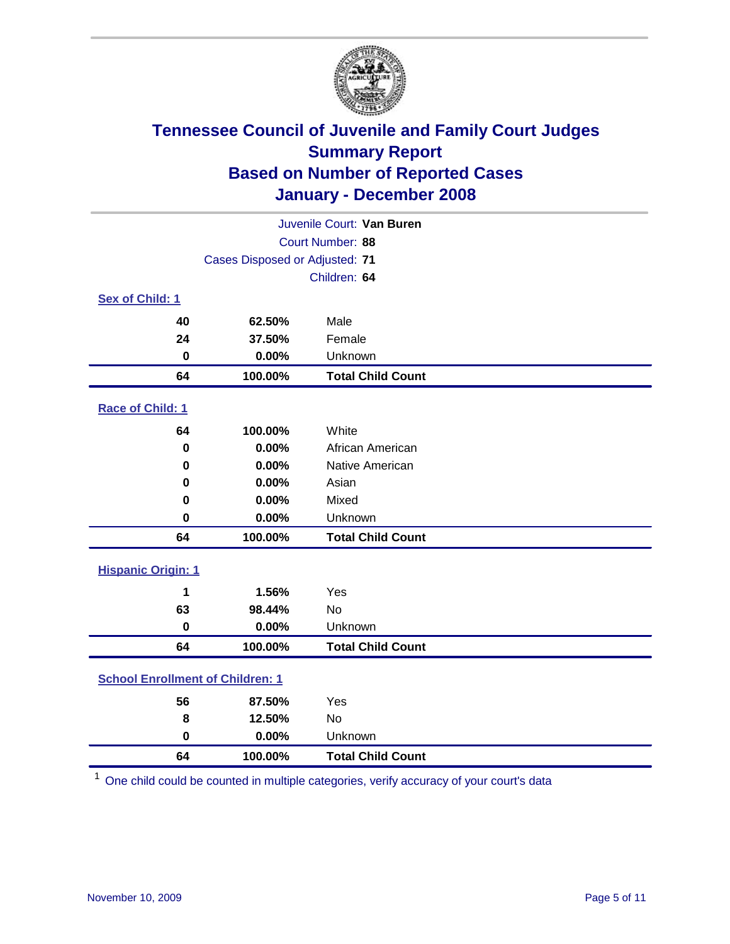

| Juvenile Court: Van Buren               |                                |                          |  |
|-----------------------------------------|--------------------------------|--------------------------|--|
|                                         |                                | Court Number: 88         |  |
|                                         | Cases Disposed or Adjusted: 71 |                          |  |
|                                         |                                | Children: 64             |  |
| Sex of Child: 1                         |                                |                          |  |
| 40                                      | 62.50%                         | Male                     |  |
| 24                                      | 37.50%                         | Female                   |  |
| $\bf{0}$                                | 0.00%                          | Unknown                  |  |
| 64                                      | 100.00%                        | <b>Total Child Count</b> |  |
| <b>Race of Child: 1</b>                 |                                |                          |  |
| 64                                      | 100.00%                        | White                    |  |
| $\bf{0}$                                | 0.00%                          | African American         |  |
| $\bf{0}$                                | 0.00%                          | Native American          |  |
| 0                                       | 0.00%                          | Asian                    |  |
| 0                                       | 0.00%                          | Mixed                    |  |
| $\bf{0}$                                | 0.00%                          | Unknown                  |  |
| 64                                      | 100.00%                        | <b>Total Child Count</b> |  |
| <b>Hispanic Origin: 1</b>               |                                |                          |  |
| 1                                       | 1.56%                          | Yes                      |  |
| 63                                      | 98.44%                         | <b>No</b>                |  |
| 0                                       | 0.00%                          | Unknown                  |  |
| 64                                      | 100.00%                        | <b>Total Child Count</b> |  |
| <b>School Enrollment of Children: 1</b> |                                |                          |  |
| 56                                      | 87.50%                         | Yes                      |  |
| 8                                       | 12.50%                         | No                       |  |
| $\bf{0}$                                | 0.00%                          | Unknown                  |  |
| 64                                      | 100.00%                        | <b>Total Child Count</b> |  |

One child could be counted in multiple categories, verify accuracy of your court's data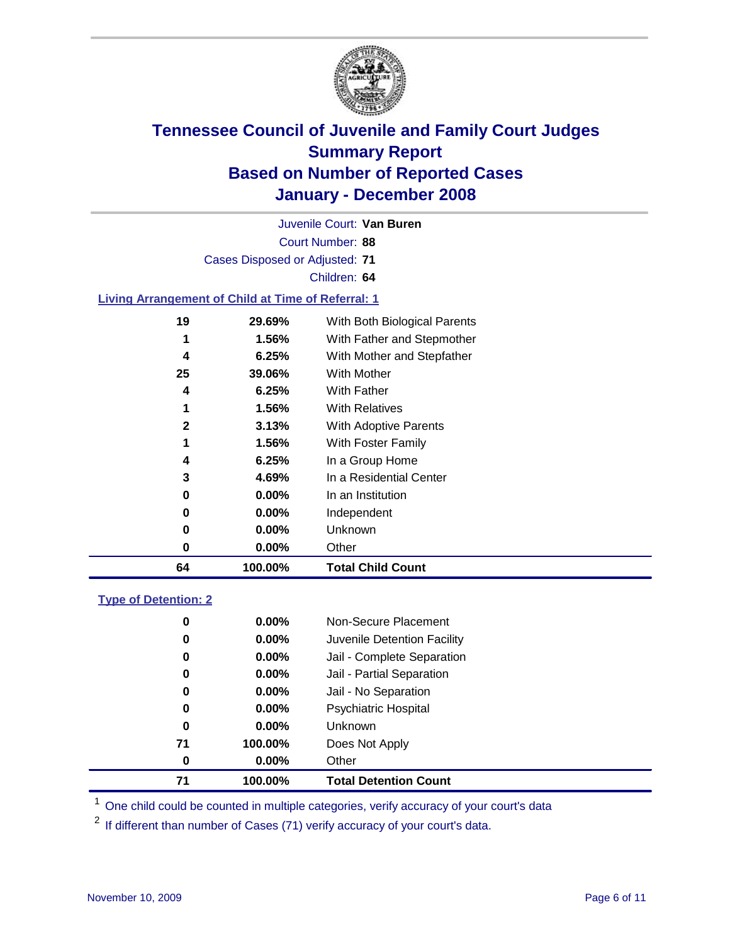

Court Number: **88** Juvenile Court: **Van Buren** Cases Disposed or Adjusted: **71** Children: **64 Living Arrangement of Child at Time of Referral: 1 29.69%** With Both Biological Parents **1.56%** With Father and Stepmother **6.25%** With Mother and Stepfather **39.06%** With Mother **6.25%** With Father **1.56%** With Relatives **3.13%** With Adoptive Parents **1.56%** With Foster Family

| 64 | 100.00%  | <b>Total Child Count</b>     |
|----|----------|------------------------------|
| 0  | $0.00\%$ | Other                        |
| 0  | $0.00\%$ | <b>Unknown</b>               |
| 0  | $0.00\%$ | Independent                  |
| 0  | $0.00\%$ | In an Institution            |
| 3  | 4.69%    | In a Residential Center      |
| 4  | 6.25%    | In a Group Home              |
|    | 1.JV 70  | <b>VVILLITUSIEL FAILIIIV</b> |

### **Type of Detention: 2**

| 71 | 100.00%  | <b>Total Detention Count</b> |
|----|----------|------------------------------|
| 0  | $0.00\%$ | Other                        |
| 71 | 100.00%  | Does Not Apply               |
| 0  | $0.00\%$ | <b>Unknown</b>               |
| 0  | $0.00\%$ | <b>Psychiatric Hospital</b>  |
| 0  | 0.00%    | Jail - No Separation         |
| 0  | $0.00\%$ | Jail - Partial Separation    |
| 0  | 0.00%    | Jail - Complete Separation   |
| 0  | 0.00%    | Juvenile Detention Facility  |
| 0  | $0.00\%$ | Non-Secure Placement         |
|    |          |                              |

<sup>1</sup> One child could be counted in multiple categories, verify accuracy of your court's data

<sup>2</sup> If different than number of Cases (71) verify accuracy of your court's data.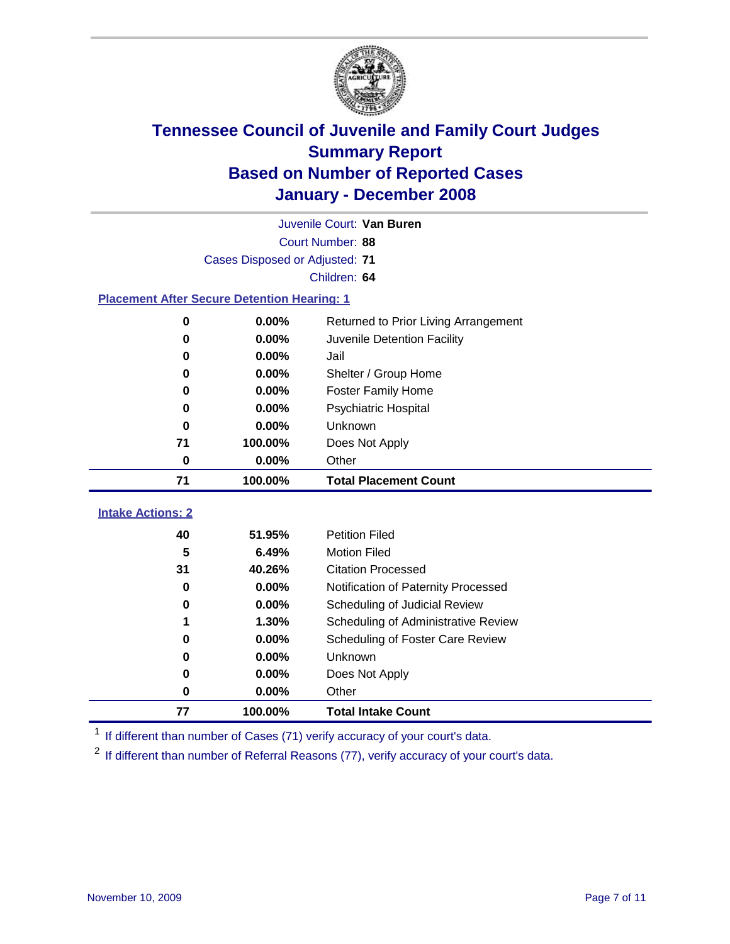

|                                                    | Juvenile Court: Van Buren      |                                      |  |  |  |
|----------------------------------------------------|--------------------------------|--------------------------------------|--|--|--|
|                                                    | Court Number: 88               |                                      |  |  |  |
|                                                    | Cases Disposed or Adjusted: 71 |                                      |  |  |  |
| Children: 64                                       |                                |                                      |  |  |  |
| <b>Placement After Secure Detention Hearing: 1</b> |                                |                                      |  |  |  |
| 0                                                  | 0.00%                          | Returned to Prior Living Arrangement |  |  |  |
| $\bf{0}$                                           | 0.00%                          | Juvenile Detention Facility          |  |  |  |
| 0                                                  | 0.00%                          | Jail                                 |  |  |  |
| $\bf{0}$                                           | 0.00%                          | Shelter / Group Home                 |  |  |  |
| 0                                                  | 0.00%                          | <b>Foster Family Home</b>            |  |  |  |
| $\bf{0}$                                           | 0.00%                          | Psychiatric Hospital                 |  |  |  |
| 0                                                  | 0.00%                          | Unknown                              |  |  |  |
| 71                                                 | 100.00%                        | Does Not Apply                       |  |  |  |
| $\bf{0}$                                           | 0.00%                          | Other                                |  |  |  |
| 71                                                 | 100.00%                        | <b>Total Placement Count</b>         |  |  |  |
| <b>Intake Actions: 2</b>                           |                                |                                      |  |  |  |
|                                                    |                                |                                      |  |  |  |
| 40                                                 | 51.95%                         | <b>Petition Filed</b>                |  |  |  |
| 5                                                  | 6.49%                          | <b>Motion Filed</b>                  |  |  |  |
| 31                                                 | 40.26%                         | <b>Citation Processed</b>            |  |  |  |
| $\bf{0}$                                           | 0.00%                          | Notification of Paternity Processed  |  |  |  |
| 0                                                  | 0.00%                          | Scheduling of Judicial Review        |  |  |  |
| 1                                                  | 1.30%                          | Scheduling of Administrative Review  |  |  |  |
| 0                                                  | 0.00%                          | Scheduling of Foster Care Review     |  |  |  |
| 0                                                  | 0.00%                          | Unknown                              |  |  |  |
| 0                                                  | 0.00%                          | Does Not Apply                       |  |  |  |
| 0                                                  | 0.00%<br>Other                 |                                      |  |  |  |
|                                                    |                                |                                      |  |  |  |

<sup>1</sup> If different than number of Cases (71) verify accuracy of your court's data.

<sup>2</sup> If different than number of Referral Reasons (77), verify accuracy of your court's data.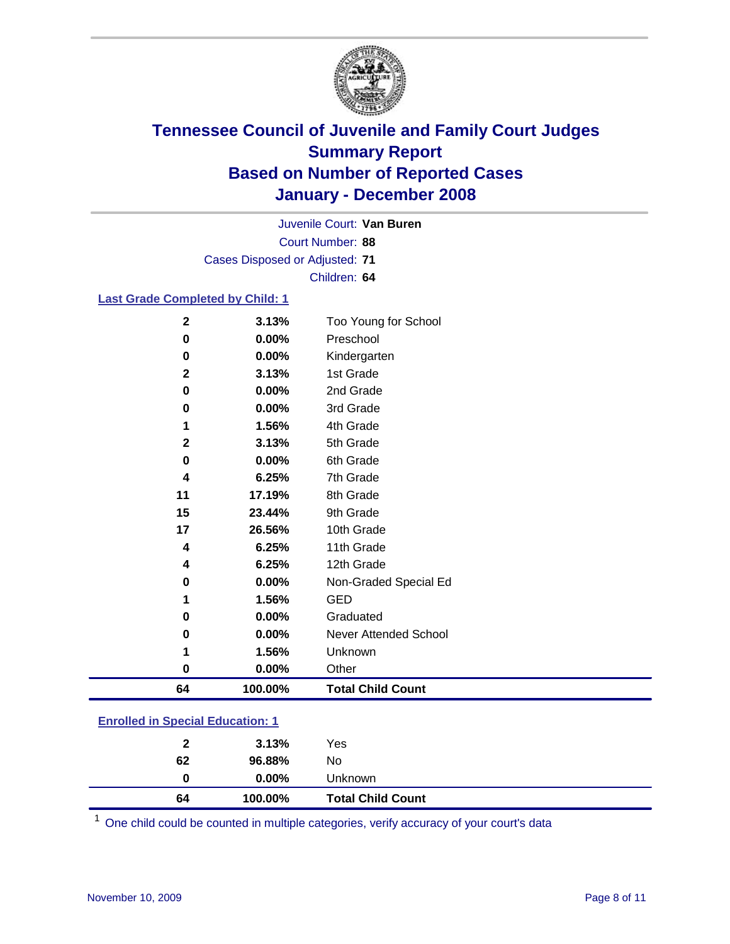

Court Number: **88** Juvenile Court: **Van Buren** Cases Disposed or Adjusted: **71** Children: **64**

### **Last Grade Completed by Child: 1**

| 0<br>64     | 0.00%<br>100.00% | Other<br><b>Total Child Count</b> |
|-------------|------------------|-----------------------------------|
| 1           | 1.56%            | Unknown                           |
| 0           | $0.00\%$         | Never Attended School             |
| 0           | 0.00%            | Graduated                         |
| 1           | 1.56%            | <b>GED</b>                        |
| 0           | 0.00%            | Non-Graded Special Ed             |
| 4           | 6.25%            | 12th Grade                        |
| 4           | 6.25%            | 11th Grade                        |
| 17          | 26.56%           | 10th Grade                        |
| 15          | 23.44%           | 9th Grade                         |
| 11          | 17.19%           | 8th Grade                         |
| 4           | 6.25%            | 7th Grade                         |
| 0           | $0.00\%$         | 6th Grade                         |
| $\mathbf 2$ | 3.13%            | 5th Grade                         |
|             | 1.56%            | 4th Grade                         |
| 0           | 0.00%            | 3rd Grade                         |
| 0           | 0.00%            | 2nd Grade                         |
| $\mathbf 2$ | 3.13%            | 1st Grade                         |
| 0           | 0.00%            | Kindergarten                      |
| 0           | 0.00%            | Preschool                         |
| $\mathbf 2$ | 3.13%            | Too Young for School              |

### **Enrolled in Special Education: 1**

| $0.00\%$<br>Unknown<br>0     |  |
|------------------------------|--|
| 62<br>96.88%<br>No           |  |
| 3.13%<br>Yes<br>$\mathbf{2}$ |  |

<sup>1</sup> One child could be counted in multiple categories, verify accuracy of your court's data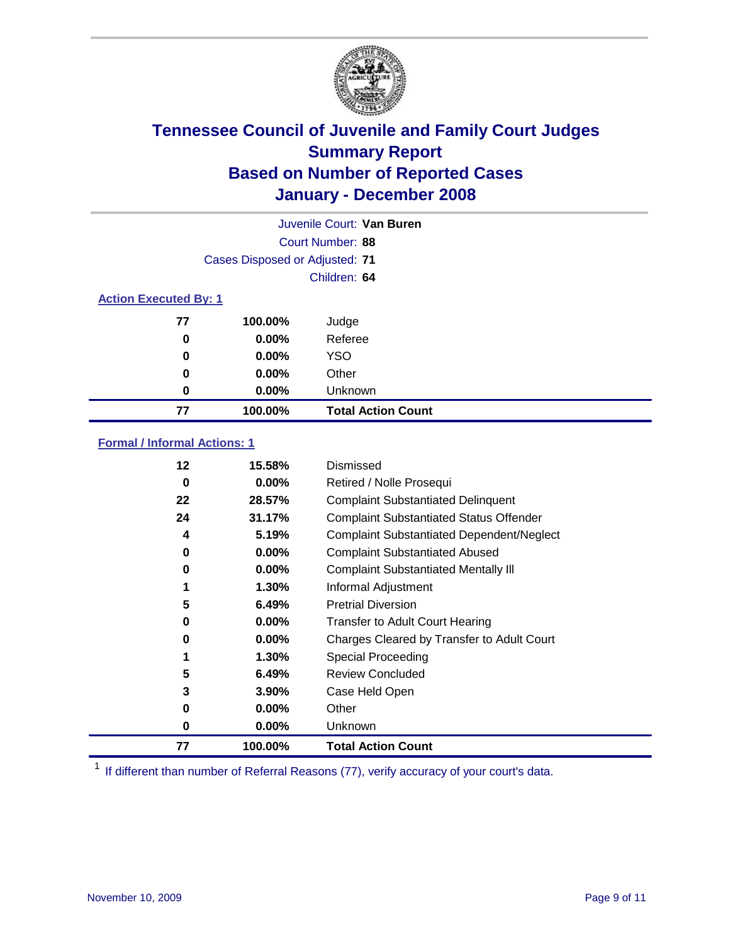

| Juvenile Court: Van Buren    |                                |                           |  |  |  |
|------------------------------|--------------------------------|---------------------------|--|--|--|
|                              | Court Number: 88               |                           |  |  |  |
|                              | Cases Disposed or Adjusted: 71 |                           |  |  |  |
|                              |                                | Children: 64              |  |  |  |
| <b>Action Executed By: 1</b> |                                |                           |  |  |  |
| 77                           | 100.00%                        | Judge                     |  |  |  |
| 0                            | $0.00\%$                       | Referee                   |  |  |  |
| 0                            | $0.00\%$                       | <b>YSO</b>                |  |  |  |
| 0                            | $0.00\%$                       | Other                     |  |  |  |
| 0                            | $0.00\%$                       | Unknown                   |  |  |  |
| 77                           | 100.00%                        | <b>Total Action Count</b> |  |  |  |

### **Formal / Informal Actions: 1**

| 12 | 15.58%   | Dismissed                                        |
|----|----------|--------------------------------------------------|
| 0  | $0.00\%$ | Retired / Nolle Prosequi                         |
| 22 | 28.57%   | <b>Complaint Substantiated Delinquent</b>        |
| 24 | 31.17%   | <b>Complaint Substantiated Status Offender</b>   |
| 4  | 5.19%    | <b>Complaint Substantiated Dependent/Neglect</b> |
| 0  | $0.00\%$ | <b>Complaint Substantiated Abused</b>            |
| 0  | $0.00\%$ | <b>Complaint Substantiated Mentally III</b>      |
|    | $1.30\%$ | Informal Adjustment                              |
| 5  | 6.49%    | <b>Pretrial Diversion</b>                        |
| 0  | $0.00\%$ | <b>Transfer to Adult Court Hearing</b>           |
| 0  | $0.00\%$ | Charges Cleared by Transfer to Adult Court       |
| 1  | 1.30%    | Special Proceeding                               |
| 5  | 6.49%    | <b>Review Concluded</b>                          |
| 3  | $3.90\%$ | Case Held Open                                   |
| 0  | $0.00\%$ | Other                                            |
| 0  | $0.00\%$ | <b>Unknown</b>                                   |
| 77 | 100.00%  | <b>Total Action Count</b>                        |

<sup>1</sup> If different than number of Referral Reasons (77), verify accuracy of your court's data.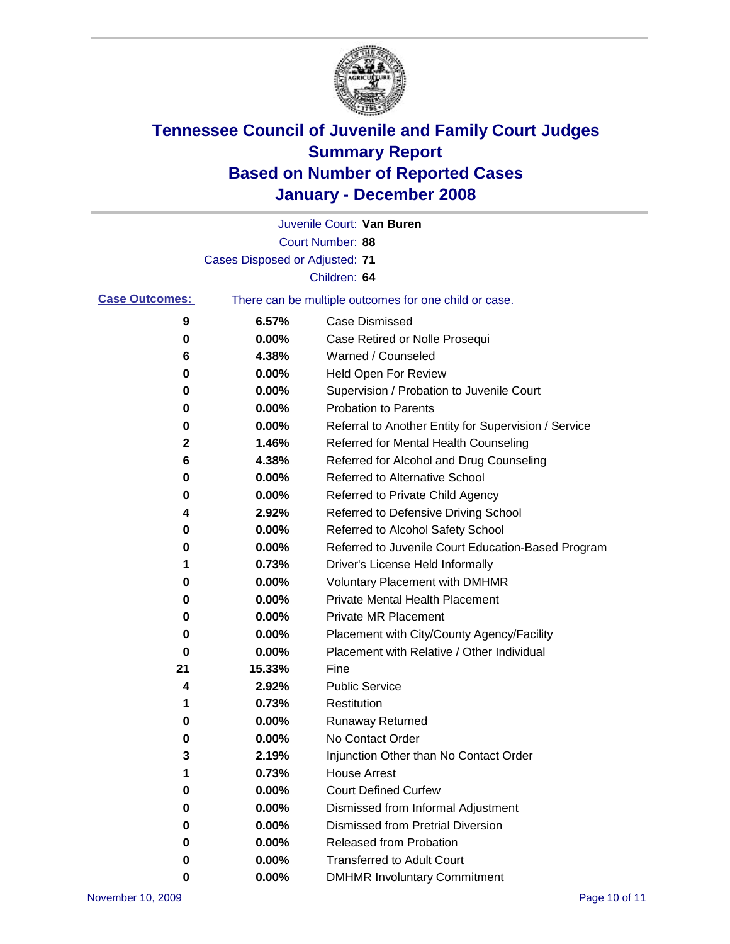

|                       |                                | Juvenile Court: Van Buren                             |
|-----------------------|--------------------------------|-------------------------------------------------------|
|                       |                                | Court Number: 88                                      |
|                       | Cases Disposed or Adjusted: 71 |                                                       |
|                       |                                | Children: 64                                          |
| <b>Case Outcomes:</b> |                                | There can be multiple outcomes for one child or case. |
| 9                     | 6.57%                          | Case Dismissed                                        |
| 0                     | 0.00%                          | Case Retired or Nolle Prosequi                        |
| 6                     | 4.38%                          | Warned / Counseled                                    |
| 0                     | 0.00%                          | Held Open For Review                                  |
| 0                     | 0.00%                          | Supervision / Probation to Juvenile Court             |
| 0                     | 0.00%                          | <b>Probation to Parents</b>                           |
| 0                     | 0.00%                          | Referral to Another Entity for Supervision / Service  |
| 2                     | 1.46%                          | Referred for Mental Health Counseling                 |
| 6                     | 4.38%                          | Referred for Alcohol and Drug Counseling              |
| 0                     | 0.00%                          | <b>Referred to Alternative School</b>                 |
| 0                     | 0.00%                          | Referred to Private Child Agency                      |
| 4                     | 2.92%                          | Referred to Defensive Driving School                  |
| 0                     | 0.00%                          | Referred to Alcohol Safety School                     |
| 0                     | 0.00%                          | Referred to Juvenile Court Education-Based Program    |
| 1                     | 0.73%                          | Driver's License Held Informally                      |
| 0                     | 0.00%                          | <b>Voluntary Placement with DMHMR</b>                 |
| 0                     | 0.00%                          | <b>Private Mental Health Placement</b>                |
| 0                     | 0.00%                          | <b>Private MR Placement</b>                           |
| 0                     | 0.00%                          | Placement with City/County Agency/Facility            |
| 0                     | 0.00%                          | Placement with Relative / Other Individual            |
| 21                    | 15.33%                         | Fine                                                  |
| 4                     | 2.92%                          | <b>Public Service</b>                                 |
| 1                     | 0.73%                          | Restitution                                           |
| 0                     | 0.00%                          | <b>Runaway Returned</b>                               |
| 0                     | 0.00%                          | No Contact Order                                      |
| 3                     | 2.19%                          | Injunction Other than No Contact Order                |
| 1                     | 0.73%                          | <b>House Arrest</b>                                   |
| 0                     | 0.00%                          | <b>Court Defined Curfew</b>                           |
| 0                     | 0.00%                          | Dismissed from Informal Adjustment                    |
| 0                     | 0.00%                          | <b>Dismissed from Pretrial Diversion</b>              |
| 0                     | 0.00%                          | <b>Released from Probation</b>                        |
| 0                     | 0.00%                          | <b>Transferred to Adult Court</b>                     |
| 0                     | $0.00\%$                       | <b>DMHMR Involuntary Commitment</b>                   |